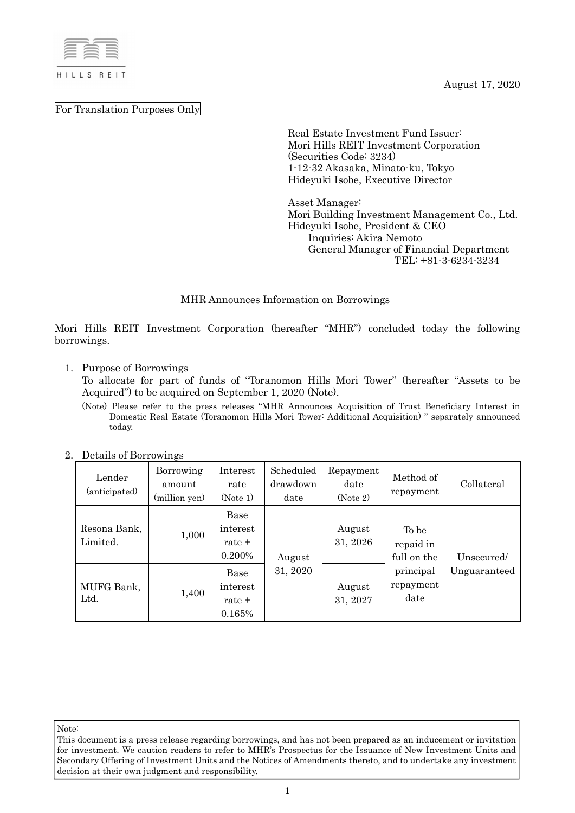

For Translation Purposes Only

August 17, 2020

Real Estate Investment Fund Issuer: Mori Hills REIT Investment Corporation (Securities Code: 3234) 1-12-32 Akasaka, Minato-ku, Tokyo Hideyuki Isobe, Executive Director

Asset Manager: Mori Building Investment Management Co., Ltd. Hideyuki Isobe, President & CEO Inquiries: Akira Nemoto General Manager of Financial Department TEL: +81-3-6234-3234

## MHR Announces Information on Borrowings

Mori Hills REIT Investment Corporation (hereafter "MHR") concluded today the following borrowings.

1. Purpose of Borrowings

To allocate for part of funds of "Toranomon Hills Mori Tower" (hereafter "Assets to be Acquired") to be acquired on September 1, 2020 (Note).

(Note) Please refer to the press releases "MHR Announces Acquisition of Trust Beneficiary Interest in Domestic Real Estate (Toranomon Hills Mori Tower: Additional Acquisition) " separately announced today.

| Detains of Dollowings<br>Lender<br>(anticipated) | Borrowing<br>amount<br>(million yen) | Interest<br>rate<br>(Note 1)         | Scheduled<br>drawdown<br>date | Repayment<br>date<br>(Note 2) | Method of<br>repayment            | Collateral   |
|--------------------------------------------------|--------------------------------------|--------------------------------------|-------------------------------|-------------------------------|-----------------------------------|--------------|
| Resona Bank,<br>Limited.                         | 1,000                                | Base<br>interest<br>rate +<br>0.200% | August                        | August<br>31, 2026            | To be<br>repaid in<br>full on the | Unsecured/   |
| MUFG Bank,<br>Ltd.                               | 1,400                                | Base<br>interest<br>rate +<br>0.165% | 31, 2020                      | August<br>31, 2027            | principal<br>repayment<br>date    | Unguaranteed |

2. Details of Borrowings

Note:

This document is a press release regarding borrowings, and has not been prepared as an inducement or invitation for investment. We caution readers to refer to MHR's Prospectus for the Issuance of New Investment Units and Secondary Offering of Investment Units and the Notices of Amendments thereto, and to undertake any investment decision at their own judgment and responsibility.